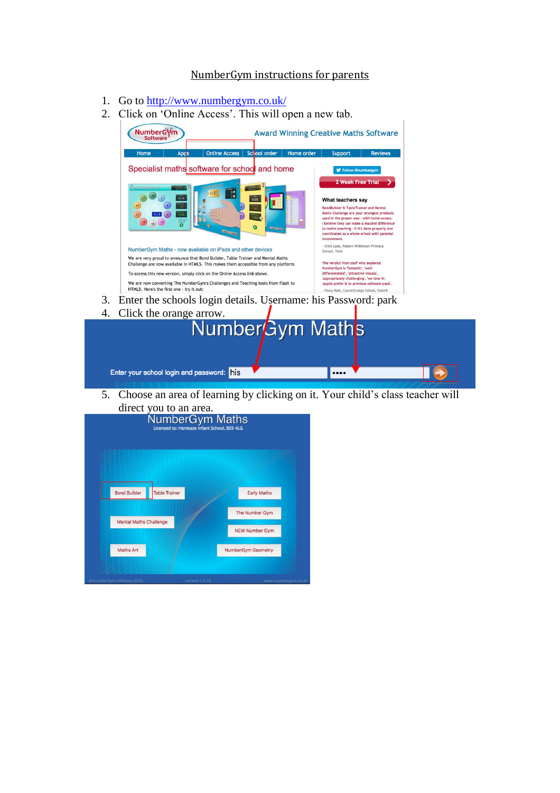## NumberGym instructions for parents

- 1. Go to<http://www.numbergym.co.uk/>
- 2. Click on 'Online Access'. This will open a new tab.



- 3. Enter the schools login details. Username: his Password: park
- 4. Click the orange arrow.

| 4. CHCK the orange arrow.                 | NumberGym Math <sub>s</sub> |  |
|-------------------------------------------|-----------------------------|--|
| Enter your school login and password: his |                             |  |

5. Choose an area of learning by clicking on it. Your child's class teacher will

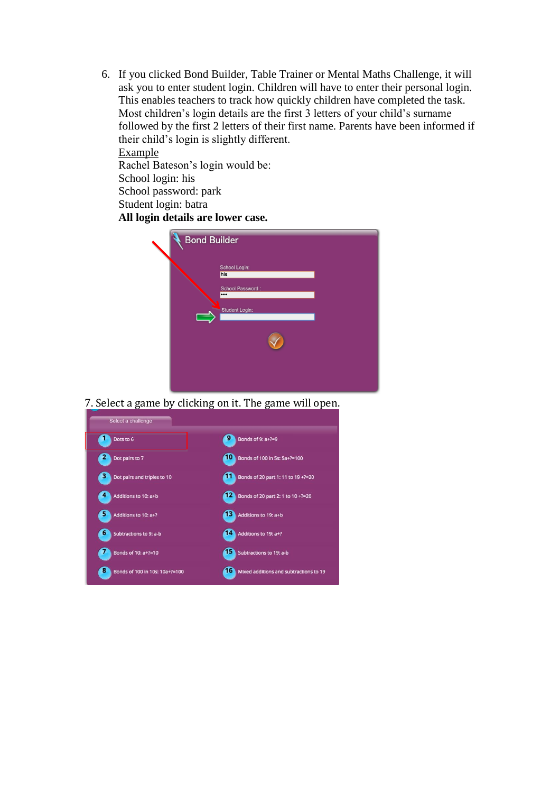6. If you clicked Bond Builder, Table Trainer or Mental Maths Challenge, it will ask you to enter student login. Children will have to enter their personal login. This enables teachers to track how quickly children have completed the task. Most children's login details are the first 3 letters of your child's surname followed by the first 2 letters of their first name. Parents have been informed if their child's login is slightly different.

Example Rachel Bateson's login would be: School login: his School password: park Student login: batra **All login details are lower case.** 

| <b>Bond Builder</b>                                            |
|----------------------------------------------------------------|
| School Login:<br>his<br>School Password:<br><br>Student Login: |
|                                                                |

7. Select a game by clicking on it. The game will open.

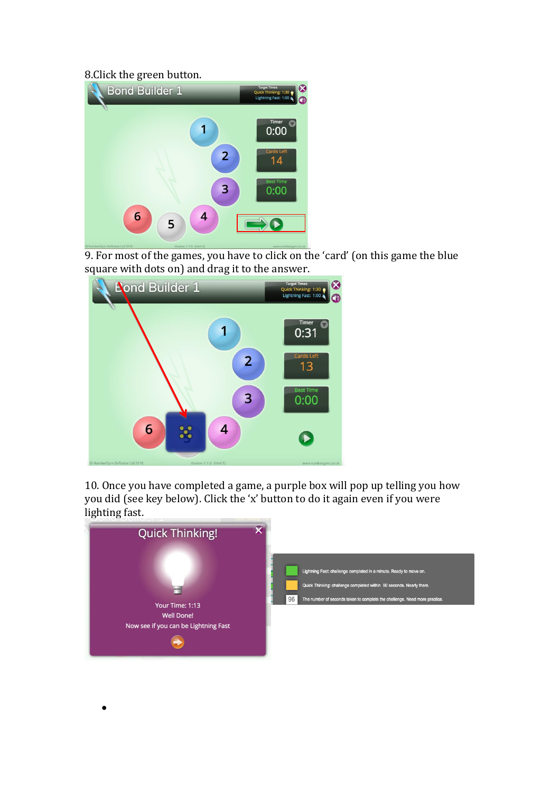## 8.Click the green button.

 $\bullet$ 



9. For most of the games, you have to click on the 'card' (on this game the blue square with dots on) and drag it to the answer.



10. Once you have completed a game, a purple box will pop up telling you how you did (see key below). Click the 'x' button to do it again even if you were lighting fast.